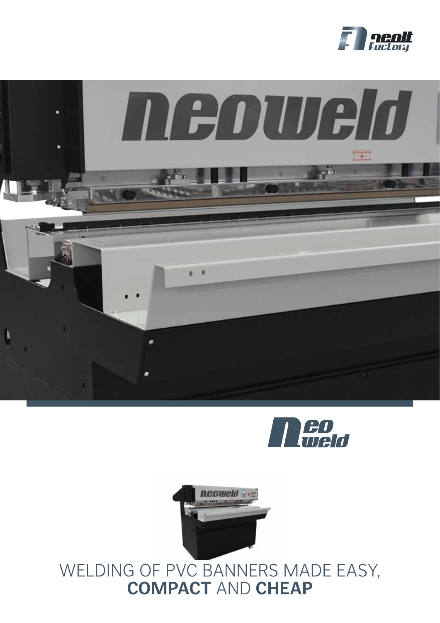







## WELDING OF PVC BANNERS MADE EASY, **COMPACT** AND **CHEAP**